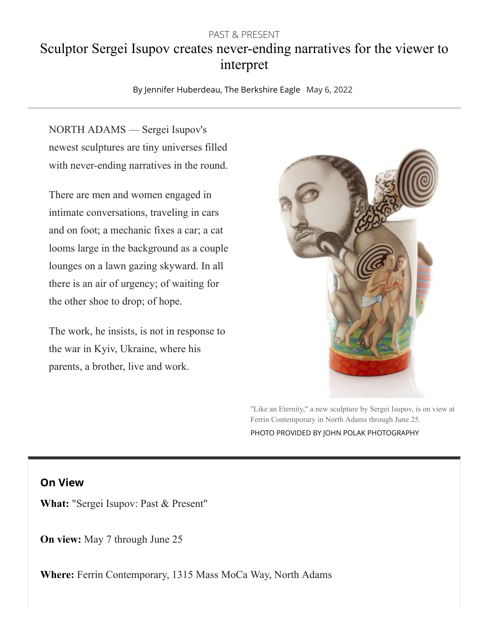## PAST & PRESENT Sculptor Sergei Isupov creates never-ending narratives for the viewer to interpret

[By Jennifer Huberdeau, The Berkshire Eagle](https://www.berkshireeagle.com/users/profile/Jennifer%20Huberdeau) May 6, 2022

NORTH ADAMS — Sergei Isupov's newest sculptures are tiny universes filled with never-ending narratives in the round.

There are men and women engaged in intimate conversations, traveling in cars and on foot; a mechanic fixes a car; a cat looms large in the background as a couple lounges on a lawn gazing skyward. In all there is an air of urgency; of waiting for the other shoe to drop; of hope.

The work, he insists, is not in response to the war in Kyiv, Ukraine, where his parents, a brother, live and work.



"Like an Eternity," a new sculpture by Sergei Isupov, is on view at Ferrin Contemporary in North Adams through June 25. PHOTO PROVIDED BY JOHN POLAK PHOTOGRAPHY

## **On View**

**What:** "Sergei Isupov: Past & Present"

**On view:** May 7 through June 25

**Where:** Ferrin Contemporary, 1315 Mass MoCa Way, North Adams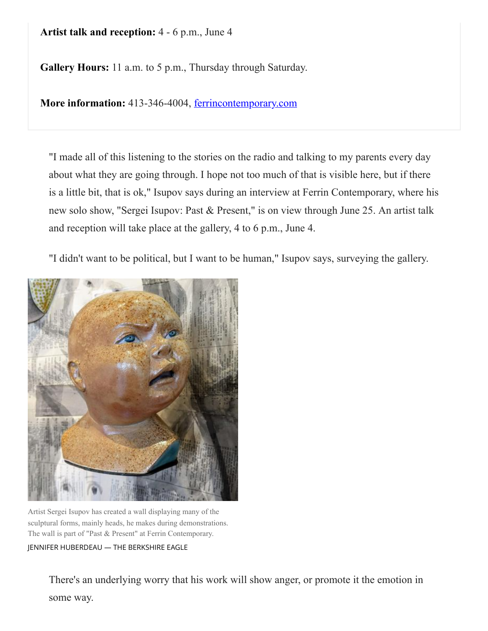## **Artist talk and reception:** 4 - 6 p.m., June 4

**Gallery Hours:** 11 a.m. to 5 p.m., Thursday through Saturday.

**More information:** 413-346-4004, [ferrincontemporary.com](http://ferrincontemporary.com/)

"I made all of this listening to the stories on the radio and talking to my parents every day about what they are going through. I hope not too much of that is visible here, but if there is a little bit, that is ok," Isupov says during an interview at Ferrin Contemporary, where his new solo show, "Sergei Isupov: Past & Present," is on view through June 25. An artist talk and reception will take place at the gallery, 4 to 6 p.m., June 4.

"I didn't want to be political, but I want to be human," Isupov says, surveying the gallery.



Artist Sergei Isupov has created a wall displaying many of the sculptural forms, mainly heads, he makes during demonstrations. The wall is part of "Past & Present" at Ferrin Contemporary.

JENNIFER HUBERDEAU — THE BERKSHIRE EAGLE

There's an underlying worry that his work will show anger, or promote it the emotion in some way.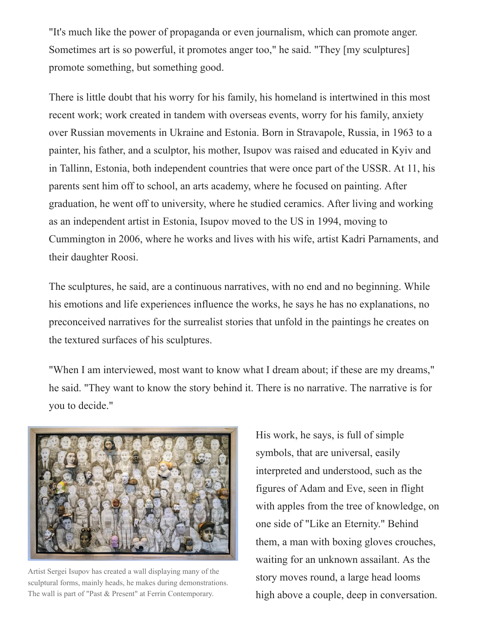"It's much like the power of propaganda or even journalism, which can promote anger. Sometimes art is so powerful, it promotes anger too," he said. "They [my sculptures] promote something, but something good.

There is little doubt that his worry for his family, his homeland is intertwined in this most recent work; work created in tandem with overseas events, worry for his family, anxiety over Russian movements in Ukraine and Estonia. Born in Stravapole, Russia, in 1963 to a painter, his father, and a sculptor, his mother, Isupov was raised and educated in Kyiv and in Tallinn, Estonia, both independent countries that were once part of the USSR. At 11, his parents sent him off to school, an arts academy, where he focused on painting. After graduation, he went off to university, where he studied ceramics. After living and working as an independent artist in Estonia, Isupov moved to the US in 1994, moving to Cummington in 2006, where he works and lives with his wife, artist Kadri Parnaments, and their daughter Roosi.

The sculptures, he said, are a continuous narratives, with no end and no beginning. While his emotions and life experiences influence the works, he says he has no explanations, no preconceived narratives for the surrealist stories that unfold in the paintings he creates on the textured surfaces of his sculptures.

"When I am interviewed, most want to know what I dream about; if these are my dreams," he said. "They want to know the story behind it. There is no narrative. The narrative is for you to decide."



Artist Sergei Isupov has created a wall displaying many of the sculptural forms, mainly heads, he makes during demonstrations. The wall is part of "Past & Present" at Ferrin Contemporary.

His work, he says, is full of simple symbols, that are universal, easily interpreted and understood, such as the figures of Adam and Eve, seen in flight with apples from the tree of knowledge, on one side of "Like an Eternity." Behind them, a man with boxing gloves crouches, waiting for an unknown assailant. As the story moves round, a large head looms high above a couple, deep in conversation.